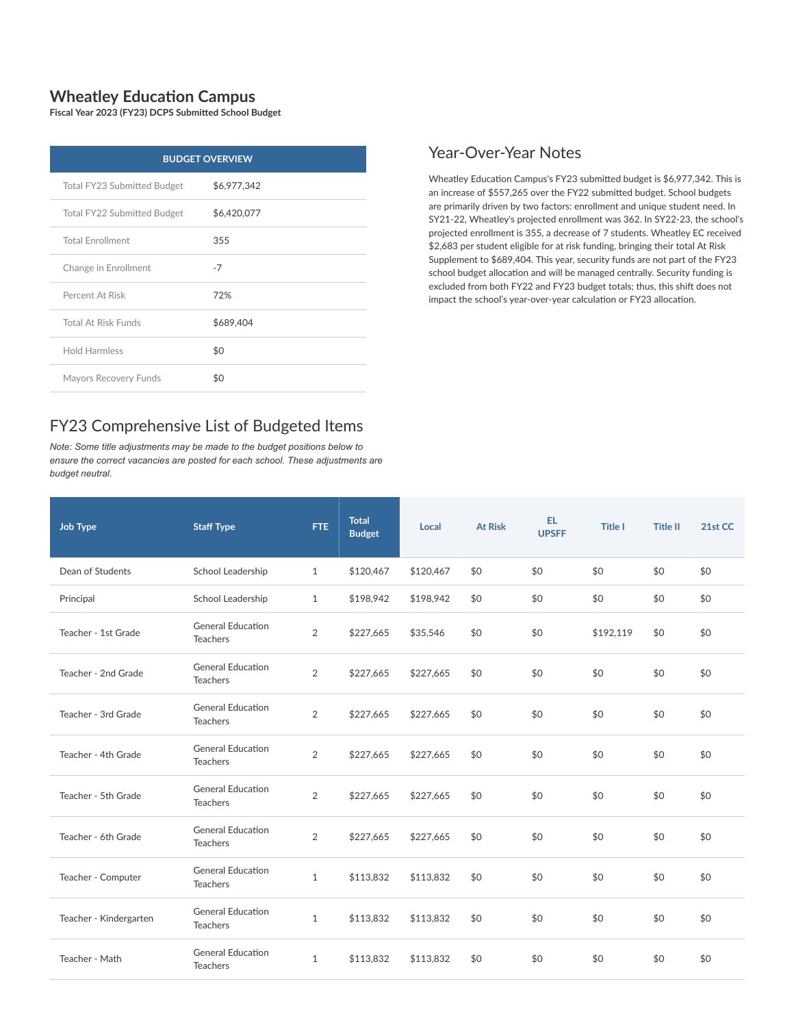## **Wheatley Education Campus**

**Fiscal Year 2023 (FY23) DCPS Submitted School Budget**

| <b>BUDGET OVERVIEW</b>      |             |  |  |  |  |  |  |
|-----------------------------|-------------|--|--|--|--|--|--|
| Total FY23 Submitted Budget | \$6,977,342 |  |  |  |  |  |  |
| Total FY22 Submitted Budget | \$6,420,077 |  |  |  |  |  |  |
| <b>Total Enrollment</b>     | 355         |  |  |  |  |  |  |
| Change in Enrollment        | $-7$        |  |  |  |  |  |  |
| Percent At Risk             | 72%         |  |  |  |  |  |  |
| <b>Total At Risk Funds</b>  | \$689,404   |  |  |  |  |  |  |
| <b>Hold Harmless</b>        | \$0         |  |  |  |  |  |  |
| Mayors Recovery Funds       | \$0         |  |  |  |  |  |  |

## FY23 Comprehensive List of Budgeted Items

*Note: Some title adjustments may be made to the budget positions below to ensure the correct vacancies are posted for each school. These adjustments are budget neutral.*

## Year-Over-Year Notes

Wheatley Education Campus's FY23 submitted budget is \$6,977,342. This is an increase of \$557,265 over the FY22 submitted budget. School budgets are primarily driven by two factors: enrollment and unique student need. In SY21-22, Wheatley's projected enrollment was 362. In SY22-23, the school's projected enrollment is 355, a decrease of 7 students. Wheatley EC received \$2,683 per student eligible for at risk funding, bringing their total At Risk Supplement to \$689,404. This year, security funds are not part of the FY23 school budget allocation and will be managed centrally. Security funding is excluded from both FY22 and FY23 budget totals; thus, this shift does not impact the school's year-over-year calculation or FY23 allocation.

| <b>Job Type</b>        | <b>Staff Type</b>                           | <b>FTE</b>     | <b>Total</b><br><b>Budget</b> | Local     | <b>At Risk</b> | EL.<br><b>UPSFF</b> | <b>Title I</b> | <b>Title II</b> | 21st CC |
|------------------------|---------------------------------------------|----------------|-------------------------------|-----------|----------------|---------------------|----------------|-----------------|---------|
| Dean of Students       | School Leadership                           | $\mathbf{1}$   | \$120,467                     | \$120,467 | \$0            | \$0                 | \$0            | \$0             | \$0     |
| Principal              | School Leadership                           | $\mathbf{1}$   | \$198,942                     | \$198,942 | \$0            | \$0                 | \$0            | \$0             | \$0     |
| Teacher - 1st Grade    | <b>General Education</b><br><b>Teachers</b> | $\overline{2}$ | \$227,665                     | \$35,546  | \$0            | \$0                 | \$192,119      | \$0             | \$0     |
| Teacher - 2nd Grade    | <b>General Education</b><br><b>Teachers</b> | $\overline{2}$ | \$227,665                     | \$227,665 | \$0            | \$0                 | \$0            | \$0             | \$0     |
| Teacher - 3rd Grade    | <b>General Education</b><br><b>Teachers</b> | $\overline{2}$ | \$227,665                     | \$227,665 | \$0            | \$0                 | \$0            | \$0             | \$0     |
| Teacher - 4th Grade    | <b>General Education</b><br><b>Teachers</b> | 2              | \$227,665                     | \$227.665 | \$0            | \$0                 | \$0            | \$0             | \$0     |
| Teacher - 5th Grade    | <b>General Education</b><br><b>Teachers</b> | 2              | \$227,665                     | \$227,665 | \$0            | \$0                 | \$0            | \$0             | \$0     |
| Teacher - 6th Grade    | <b>General Education</b><br><b>Teachers</b> | 2              | \$227,665                     | \$227,665 | \$0            | \$0                 | \$0            | \$0             | \$0     |
| Teacher - Computer     | <b>General Education</b><br><b>Teachers</b> | $\mathbf{1}$   | \$113,832                     | \$113,832 | \$0            | \$0                 | \$0            | \$0             | \$0     |
| Teacher - Kindergarten | <b>General Education</b><br><b>Teachers</b> | $\mathbf{1}$   | \$113,832                     | \$113,832 | \$0            | \$0                 | \$0            | \$0             | \$0     |
| Teacher - Math         | <b>General Education</b><br><b>Teachers</b> | $\mathbf{1}$   | \$113,832                     | \$113,832 | \$0            | \$0                 | \$0            | \$0             | \$0     |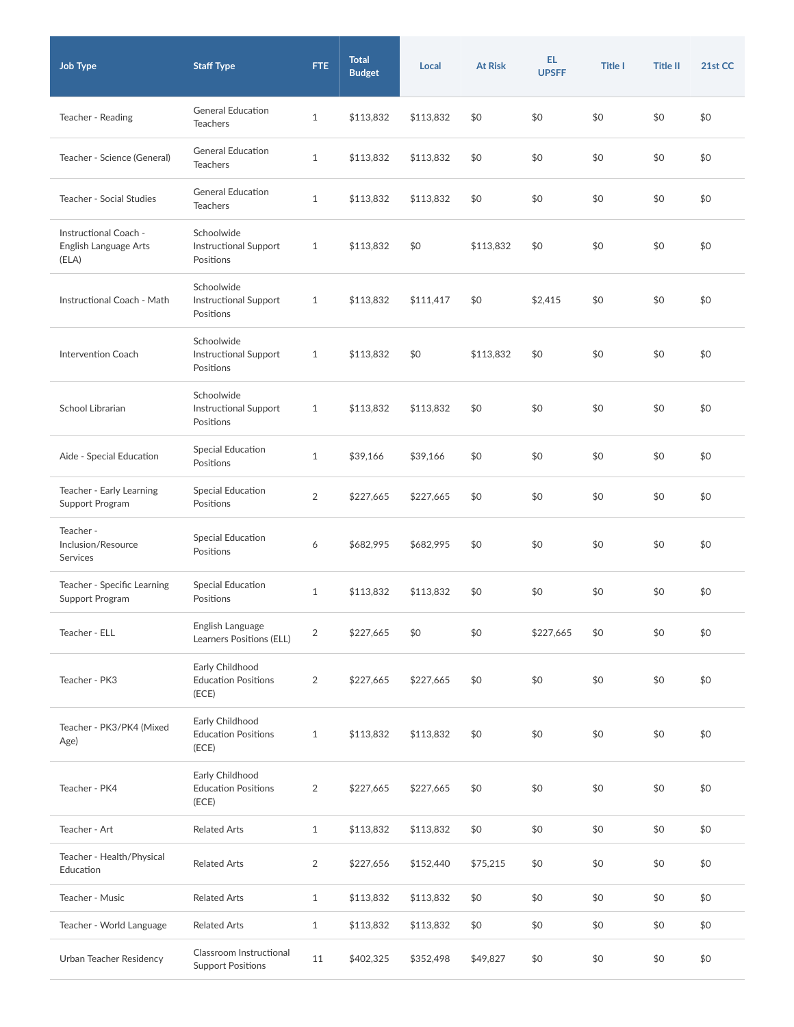| <b>Job Type</b>                                         | <b>Staff Type</b>                                       | FTE.           | <b>Total</b><br><b>Budget</b> | Local     | <b>At Risk</b> | EL<br><b>UPSFF</b> | <b>Title I</b> | <b>Title II</b> | 21st CC |
|---------------------------------------------------------|---------------------------------------------------------|----------------|-------------------------------|-----------|----------------|--------------------|----------------|-----------------|---------|
| Teacher - Reading                                       | <b>General Education</b><br><b>Teachers</b>             | $\mathbf{1}$   | \$113,832                     | \$113,832 | \$0            | \$0                | \$0            | \$0             | \$0     |
| Teacher - Science (General)                             | <b>General Education</b><br><b>Teachers</b>             | $\mathbf{1}$   | \$113,832                     | \$113,832 | \$0            | \$0                | \$0            | \$0             | \$0     |
| Teacher - Social Studies                                | <b>General Education</b><br><b>Teachers</b>             | 1              | \$113,832                     | \$113,832 | \$0            | \$0                | \$0            | \$0             | \$0     |
| Instructional Coach -<br>English Language Arts<br>(ELA) | Schoolwide<br><b>Instructional Support</b><br>Positions | $\mathbf{1}$   | \$113,832                     | \$0       | \$113,832      | \$0                | \$0            | \$0             | \$0     |
| Instructional Coach - Math                              | Schoolwide<br><b>Instructional Support</b><br>Positions | $\mathbf{1}$   | \$113,832                     | \$111,417 | \$0            | \$2,415            | \$0            | \$0             | \$0     |
| <b>Intervention Coach</b>                               | Schoolwide<br><b>Instructional Support</b><br>Positions | 1              | \$113,832                     | \$0       | \$113,832      | \$0                | \$0            | \$0             | \$0     |
| School Librarian                                        | Schoolwide<br><b>Instructional Support</b><br>Positions | 1              | \$113,832                     | \$113,832 | \$0            | \$0                | \$0            | \$0             | \$0     |
| Aide - Special Education                                | Special Education<br>Positions                          | $\mathbf{1}$   | \$39,166                      | \$39,166  | \$0            | \$0                | \$0            | \$0             | \$0     |
| Teacher - Early Learning<br>Support Program             | <b>Special Education</b><br>Positions                   | $\overline{2}$ | \$227,665                     | \$227,665 | \$0            | \$0                | \$0            | \$0             | \$0     |
| Teacher -<br>Inclusion/Resource<br>Services             | Special Education<br>Positions                          | 6              | \$682,995                     | \$682,995 | \$0            | \$0                | \$0            | \$0             | \$0     |
| Teacher - Specific Learning<br>Support Program          | Special Education<br>Positions                          | $\mathbf{1}$   | \$113,832                     | \$113,832 | \$0            | \$0                | \$0            | \$0             | \$0     |
| Teacher - ELL                                           | English Language<br>Learners Positions (ELL)            | $\overline{2}$ | \$227,665                     | \$0       | \$0            | \$227,665          | \$0            | \$0             | \$0     |
| Teacher - PK3                                           | Early Childhood<br><b>Education Positions</b><br>(ECE)  | $\overline{2}$ | \$227,665                     | \$227,665 | \$0            | \$0                | \$0            | \$0             | \$0     |
| Teacher - PK3/PK4 (Mixed<br>Age)                        | Early Childhood<br><b>Education Positions</b><br>(ECE)  | $\mathbf{1}$   | \$113,832                     | \$113,832 | \$0            | \$0                | \$0            | \$0             | \$0     |
| Teacher - PK4                                           | Early Childhood<br><b>Education Positions</b><br>(ECE)  | $\overline{2}$ | \$227,665                     | \$227,665 | \$0            | \$0                | \$0            | \$0             | \$0     |
| Teacher - Art                                           | <b>Related Arts</b>                                     | $\mathbf{1}$   | \$113,832                     | \$113,832 | \$0            | \$0                | \$0            | \$0             | \$0     |
| Teacher - Health/Physical<br>Education                  | <b>Related Arts</b>                                     | $\overline{2}$ | \$227,656                     | \$152,440 | \$75,215       | \$0                | \$0            | \$0             | \$0     |
| Teacher - Music                                         | <b>Related Arts</b>                                     | $\mathbf{1}$   | \$113,832                     | \$113,832 | \$0            | \$0                | \$0            | \$0             | \$0     |
| Teacher - World Language                                | <b>Related Arts</b>                                     | $\mathbf{1}$   | \$113,832                     | \$113,832 | \$0            | \$0                | \$0            | \$0             | \$0     |
| Urban Teacher Residency                                 | Classroom Instructional<br><b>Support Positions</b>     | $11\,$         | \$402,325                     | \$352,498 | \$49,827       | \$0                | \$0            | \$0             | \$0     |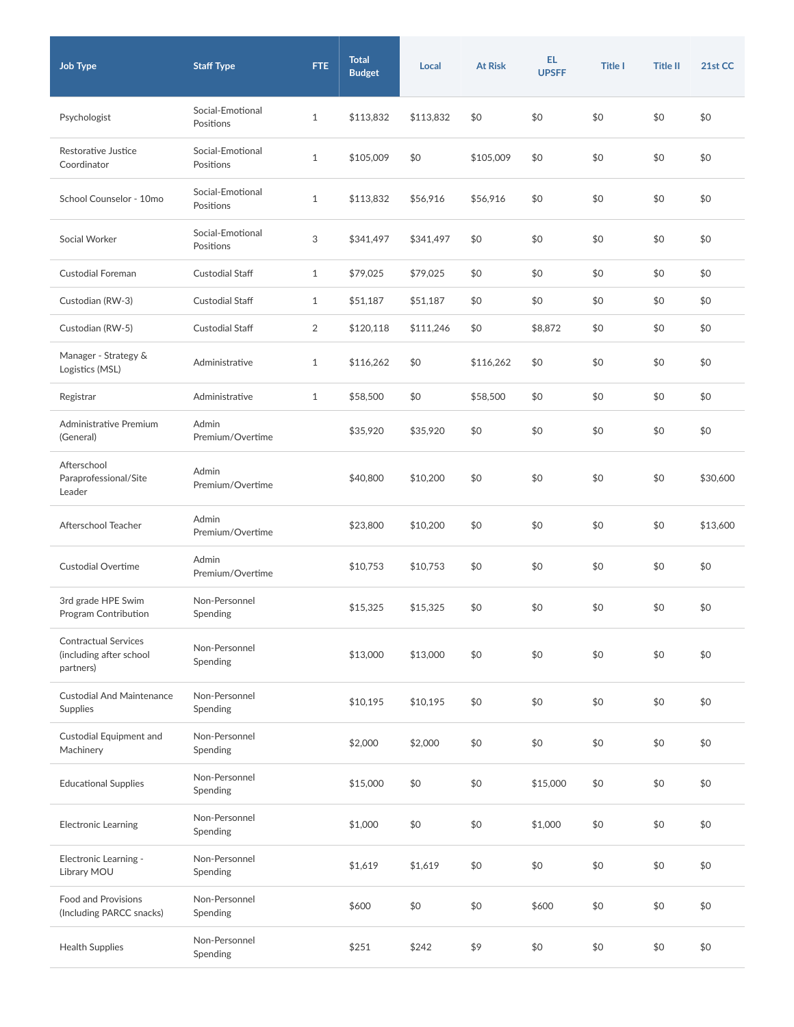| <b>Job Type</b>                                                     | <b>Staff Type</b>             | FTE.         | <b>Total</b><br><b>Budget</b> | Local     | <b>At Risk</b> | EL.<br><b>UPSFF</b> | <b>Title I</b> | <b>Title II</b> | 21st CC  |
|---------------------------------------------------------------------|-------------------------------|--------------|-------------------------------|-----------|----------------|---------------------|----------------|-----------------|----------|
| Psychologist                                                        | Social-Emotional<br>Positions | $\mathbf{1}$ | \$113,832                     | \$113,832 | \$0            | \$0                 | \$0            | \$0             | \$0      |
| Restorative Justice<br>Coordinator                                  | Social-Emotional<br>Positions | $\mathbf{1}$ | \$105,009                     | \$0       | \$105,009      | \$0                 | \$0            | \$0             | \$0      |
| School Counselor - 10mo                                             | Social-Emotional<br>Positions | $\mathbf{1}$ | \$113,832                     | \$56,916  | \$56,916       | \$0                 | \$0            | \$0             | \$0      |
| Social Worker                                                       | Social-Emotional<br>Positions | 3            | \$341,497                     | \$341,497 | \$0            | \$0                 | \$0            | \$0             | \$0      |
| Custodial Foreman                                                   | <b>Custodial Staff</b>        | $\mathbf{1}$ | \$79,025                      | \$79,025  | \$0            | \$0                 | \$0            | \$0             | \$0      |
| Custodian (RW-3)                                                    | <b>Custodial Staff</b>        | $\mathbf{1}$ | \$51,187                      | \$51,187  | \$0            | \$0                 | \$0            | \$0             | \$0      |
| Custodian (RW-5)                                                    | <b>Custodial Staff</b>        | 2            | \$120.118                     | \$111,246 | \$0            | \$8,872             | \$0            | \$0             | \$0      |
| Manager - Strategy &<br>Logistics (MSL)                             | Administrative                | $\mathbf{1}$ | \$116,262                     | \$0       | \$116,262      | \$0                 | \$0            | \$0             | \$0      |
| Registrar                                                           | Administrative                | $\mathbf{1}$ | \$58,500                      | \$0       | \$58,500       | \$0                 | \$0            | \$0             | \$0      |
| Administrative Premium<br>(General)                                 | Admin<br>Premium/Overtime     |              | \$35,920                      | \$35,920  | \$0            | \$0                 | \$0            | \$0             | \$0      |
| Afterschool<br>Paraprofessional/Site<br>Leader                      | Admin<br>Premium/Overtime     |              | \$40,800                      | \$10,200  | \$0            | \$0                 | \$0            | \$0             | \$30,600 |
| Afterschool Teacher                                                 | Admin<br>Premium/Overtime     |              | \$23,800                      | \$10,200  | \$0            | \$0                 | \$0            | \$0             | \$13,600 |
| <b>Custodial Overtime</b>                                           | Admin<br>Premium/Overtime     |              | \$10,753                      | \$10,753  | \$0            | \$0                 | \$0            | \$0             | \$0      |
| 3rd grade HPE Swim<br>Program Contribution                          | Non-Personnel<br>Spending     |              | \$15,325                      | \$15,325  | \$0            | \$0                 | \$0            | \$0             | \$0      |
| <b>Contractual Services</b><br>(including after school<br>partners) | Non-Personnel<br>Spending     |              | \$13,000                      | \$13,000  | \$0            | \$0                 | \$0            | \$0             | \$0      |
| <b>Custodial And Maintenance</b><br>Supplies                        | Non-Personnel<br>Spending     |              | \$10,195                      | \$10,195  | \$0            | \$0                 | \$0            | \$0             | \$0      |
| Custodial Equipment and<br>Machinery                                | Non-Personnel<br>Spending     |              | \$2,000                       | \$2,000   | \$0            | \$0                 | \$0            | \$0             | \$0      |
| <b>Educational Supplies</b>                                         | Non-Personnel<br>Spending     |              | \$15,000                      | \$0       | \$0            | \$15,000            | \$0            | \$0             | \$0      |
| Electronic Learning                                                 | Non-Personnel<br>Spending     |              | \$1,000                       | \$0       | \$0            | \$1,000             | \$0            | \$0             | \$0      |
| Electronic Learning -<br>Library MOU                                | Non-Personnel<br>Spending     |              | \$1,619                       | \$1,619   | \$0            | \$0                 | \$0            | \$0             | \$0      |
| Food and Provisions<br>(Including PARCC snacks)                     | Non-Personnel<br>Spending     |              | \$600                         | \$0       | \$0            | \$600               | \$0            | \$0             | \$0      |
| <b>Health Supplies</b>                                              | Non-Personnel<br>Spending     |              | \$251                         | \$242     | \$9            | \$0                 | \$0            | \$0             | \$0      |